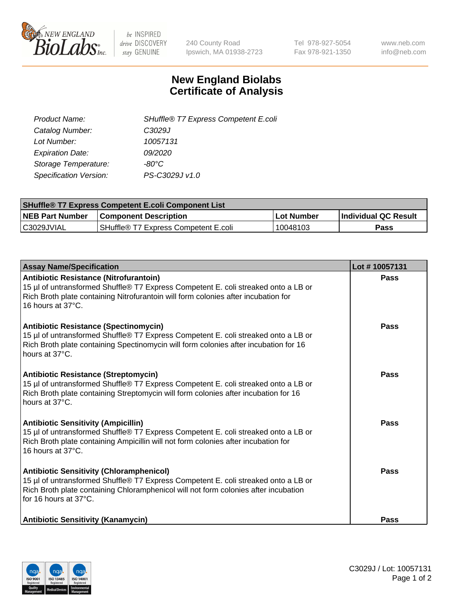

 $be$  INSPIRED drive DISCOVERY stay GENUINE

240 County Road Ipswich, MA 01938-2723 Tel 978-927-5054 Fax 978-921-1350 www.neb.com info@neb.com

## **New England Biolabs Certificate of Analysis**

| SHuffle® T7 Express Competent E.coli |
|--------------------------------------|
| C <sub>3029</sub> J                  |
| 10057131                             |
| 09/2020                              |
| -80°C                                |
| PS-C3029J v1.0                       |
|                                      |

| <b>SHuffle<sup>®</sup> T7 Express Competent E.coli Component List</b> |                                      |            |                             |  |
|-----------------------------------------------------------------------|--------------------------------------|------------|-----------------------------|--|
| <b>NEB Part Number</b>                                                | <b>Component Description</b>         | Lot Number | <b>Individual QC Result</b> |  |
| C3029JVIAL                                                            | SHuffle® T7 Express Competent E.coli | 10048103   | Pass                        |  |

| <b>Assay Name/Specification</b>                                                                                                                                                                                                                       | Lot #10057131 |
|-------------------------------------------------------------------------------------------------------------------------------------------------------------------------------------------------------------------------------------------------------|---------------|
| <b>Antibiotic Resistance (Nitrofurantoin)</b><br>15 µl of untransformed Shuffle® T7 Express Competent E. coli streaked onto a LB or<br>Rich Broth plate containing Nitrofurantoin will form colonies after incubation for<br>16 hours at 37°C.        | Pass          |
| <b>Antibiotic Resistance (Spectinomycin)</b><br>15 µl of untransformed Shuffle® T7 Express Competent E. coli streaked onto a LB or<br>Rich Broth plate containing Spectinomycin will form colonies after incubation for 16<br>hours at 37°C.          | Pass          |
| <b>Antibiotic Resistance (Streptomycin)</b><br>15 µl of untransformed Shuffle® T7 Express Competent E. coli streaked onto a LB or<br>Rich Broth plate containing Streptomycin will form colonies after incubation for 16<br>hours at 37°C.            | Pass          |
| <b>Antibiotic Sensitivity (Ampicillin)</b><br>15 µl of untransformed Shuffle® T7 Express Competent E. coli streaked onto a LB or<br>Rich Broth plate containing Ampicillin will not form colonies after incubation for<br>16 hours at $37^{\circ}$ C. | Pass          |
| <b>Antibiotic Sensitivity (Chloramphenicol)</b><br>15 µl of untransformed Shuffle® T7 Express Competent E. coli streaked onto a LB or<br>Rich Broth plate containing Chloramphenicol will not form colonies after incubation<br>for 16 hours at 37°C. | Pass          |
| <b>Antibiotic Sensitivity (Kanamycin)</b>                                                                                                                                                                                                             | Pass          |